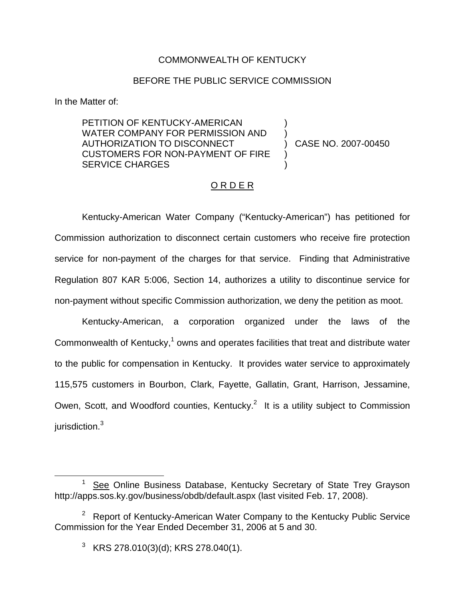## COMMONWEALTH OF KENTUCKY

## BEFORE THE PUBLIC SERVICE COMMISSION

) )

) )

In the Matter of:

PETITION OF KENTUCKY-AMERICAN WATER COMPANY FOR PERMISSION AND AUTHORIZATION TO DISCONNECT CUSTOMERS FOR NON-PAYMENT OF FIRE SERVICE CHARGES

) CASE NO. 2007-00450

## O R D E R

Kentucky-American Water Company ("Kentucky-American") has petitioned for Commission authorization to disconnect certain customers who receive fire protection service for non-payment of the charges for that service. Finding that Administrative Regulation 807 KAR 5:006, Section 14, authorizes a utility to discontinue service for non-payment without specific Commission authorization, we deny the petition as moot.

Kentucky-American, a corporation organized under the laws of the Commonwealth of Kentucky, $1$  owns and operates facilities that treat and distribute water to the public for compensation in Kentucky. It provides water service to approximately 115,575 customers in Bourbon, Clark, Fayette, Gallatin, Grant, Harrison, Jessamine, Owen, Scott, and Woodford counties, Kentucky.<sup>2</sup> It is a utility subject to Commission jurisdiction.<sup>3</sup>

See Online Business Database, Kentucky Secretary of State Trey Grayson http://apps.sos.ky.gov/business/obdb/default.aspx (last visited Feb. 17, 2008).

<sup>&</sup>lt;sup>2</sup> Report of Kentucky-American Water Company to the Kentucky Public Service Commission for the Year Ended December 31, 2006 at 5 and 30.

 $3$  KRS 278.010(3)(d); KRS 278.040(1).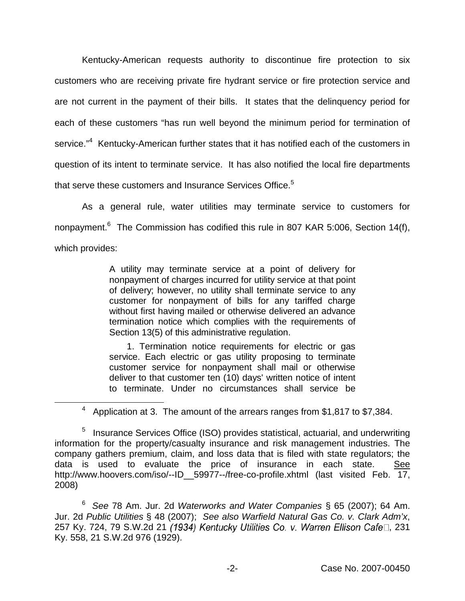Kentucky-American requests authority to discontinue fire protection to six customers who are receiving private fire hydrant service or fire protection service and are not current in the payment of their bills. It states that the delinquency period for each of these customers "has run well beyond the minimum period for termination of service."<sup>4</sup> Kentucky-American further states that it has notified each of the customers in question of its intent to terminate service. It has also notified the local fire departments that serve these customers and Insurance Services Office.<sup>5</sup>

As a general rule, water utilities may terminate service to customers for nonpayment.<sup>6</sup> The Commission has codified this rule in 807 KAR 5:006, Section 14(f), which provides:

> A utility may terminate service at a point of delivery for nonpayment of charges incurred for utility service at that point of delivery; however, no utility shall terminate service to any customer for nonpayment of bills for any tariffed charge without first having mailed or otherwise delivered an advance termination notice which complies with the requirements of Section 13(5) of this administrative regulation.

> 1. Termination notice requirements for electric or gas service. Each electric or gas utility proposing to terminate customer service for nonpayment shall mail or otherwise deliver to that customer ten (10) days' written notice of intent to terminate. Under no circumstances shall service be

<sup>4</sup> Application at 3. The amount of the arrears ranges from \$1,817 to \$7,384.

<sup>6</sup> *See* 78 Am. Jur. 2d *Waterworks and Water Companies* § 65 (2007); 64 Am. Jur. 2d *Public Utilities* § 48 (2007); *See also Warfield Natural Gas Co. v. Clark Adm'x*, 257 Ky. 724, 79 S.W.2d 21 (1934) Kentucky Utilities Co. v. Warren Ellison Cafe□, 231 Ky. 558, 21 S.W.2d 976 (1929).

<sup>&</sup>lt;sup>5</sup> Insurance Services Office (ISO) provides statistical, actuarial, and underwriting information for the property/casualty insurance and risk management industries. The company gathers premium, claim, and loss data that is filed with state regulators; the data is used to evaluate the price of insurance in each state. See http://www.hoovers.com/iso/--ID\_\_59977--/free-co-profile.xhtml (last visited Feb. 17, 2008)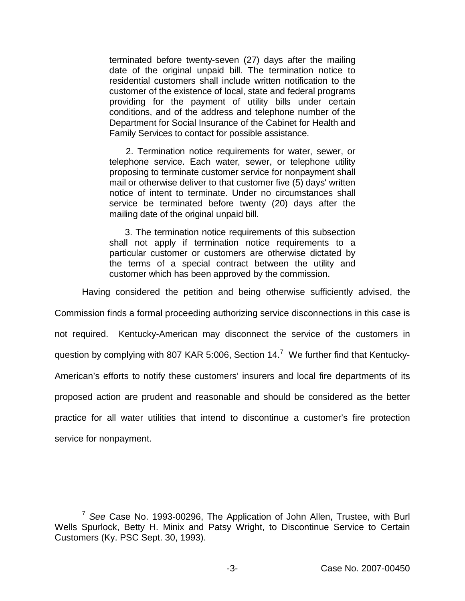terminated before twenty-seven (27) days after the mailing date of the original unpaid bill. The termination notice to residential customers shall include written notification to the customer of the existence of local, state and federal programs providing for the payment of utility bills under certain conditions, and of the address and telephone number of the Department for Social Insurance of the Cabinet for Health and Family Services to contact for possible assistance.

2. Termination notice requirements for water, sewer, or telephone service. Each water, sewer, or telephone utility proposing to terminate customer service for nonpayment shall mail or otherwise deliver to that customer five (5) days' written notice of intent to terminate. Under no circumstances shall service be terminated before twenty (20) days after the mailing date of the original unpaid bill.

3. The termination notice requirements of this subsection shall not apply if termination notice requirements to a particular customer or customers are otherwise dictated by the terms of a special contract between the utility and customer which has been approved by the commission.

Having considered the petition and being otherwise sufficiently advised, the

Commission finds a formal proceeding authorizing service disconnections in this case is not required. Kentucky-American may disconnect the service of the customers in question by complying with 807 KAR 5:006, Section  $14<sup>7</sup>$  We further find that Kentucky-American's efforts to notify these customers' insurers and local fire departments of its proposed action are prudent and reasonable and should be considered as the better practice for all water utilities that intend to discontinue a customer's fire protection service for nonpayment.

<sup>7</sup> *See* Case No. 1993-00296, The Application of John Allen, Trustee, with Burl Wells Spurlock, Betty H. Minix and Patsy Wright, to Discontinue Service to Certain Customers (Ky. PSC Sept. 30, 1993).